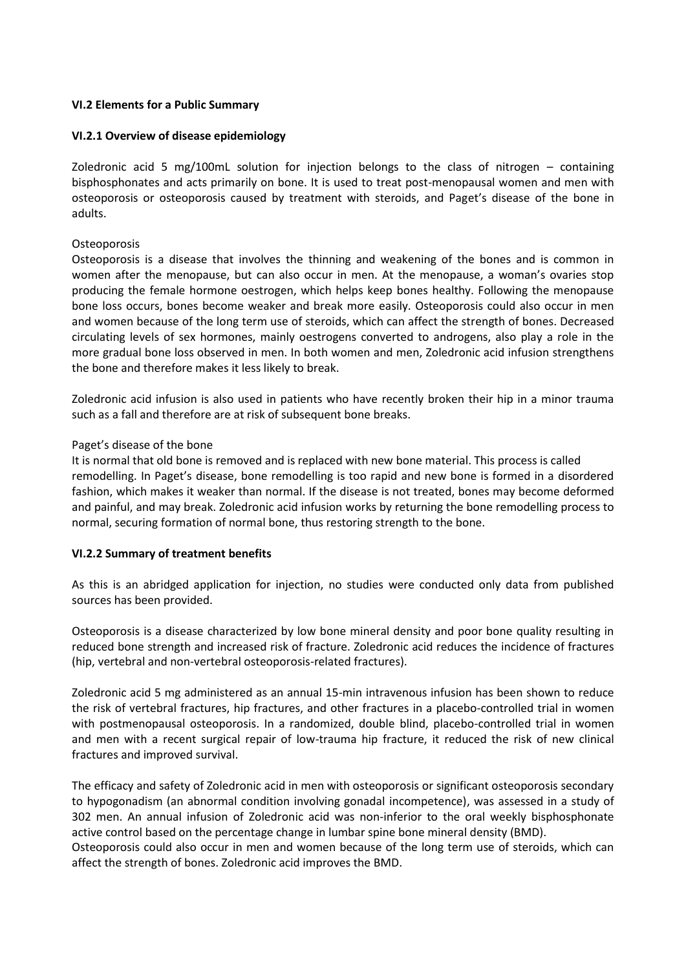## **VI.2 Elements for a Public Summary**

### **VI.2.1 Overview of disease epidemiology**

Zoledronic acid 5 mg/100mL solution for injection belongs to the class of nitrogen – containing bisphosphonates and acts primarily on bone. It is used to treat post-menopausal women and men with osteoporosis or osteoporosis caused by treatment with steroids, and Paget's disease of the bone in adults.

## **Osteoporosis**

Osteoporosis is a disease that involves the thinning and weakening of the bones and is common in women after the menopause, but can also occur in men. At the menopause, a woman's ovaries stop producing the female hormone oestrogen, which helps keep bones healthy. Following the menopause bone loss occurs, bones become weaker and break more easily. Osteoporosis could also occur in men and women because of the long term use of steroids, which can affect the strength of bones. Decreased circulating levels of sex hormones, mainly oestrogens converted to androgens, also play a role in the more gradual bone loss observed in men. In both women and men, Zoledronic acid infusion strengthens the bone and therefore makes it less likely to break.

Zoledronic acid infusion is also used in patients who have recently broken their hip in a minor trauma such as a fall and therefore are at risk of subsequent bone breaks.

#### Paget's disease of the bone

It is normal that old bone is removed and is replaced with new bone material. This process is called remodelling. In Paget's disease, bone remodelling is too rapid and new bone is formed in a disordered fashion, which makes it weaker than normal. If the disease is not treated, bones may become deformed and painful, and may break. Zoledronic acid infusion works by returning the bone remodelling process to normal, securing formation of normal bone, thus restoring strength to the bone.

#### **VI.2.2 Summary of treatment benefits**

As this is an abridged application for injection, no studies were conducted only data from published sources has been provided.

Osteoporosis is a disease characterized by low bone mineral density and poor bone quality resulting in reduced bone strength and increased risk of fracture. Zoledronic acid reduces the incidence of fractures (hip, vertebral and non-vertebral osteoporosis-related fractures).

Zoledronic acid 5 mg administered as an annual 15-min intravenous infusion has been shown to reduce the risk of vertebral fractures, hip fractures, and other fractures in a placebo-controlled trial in women with postmenopausal osteoporosis. In a randomized, double blind, placebo-controlled trial in women and men with a recent surgical repair of low-trauma hip fracture, it reduced the risk of new clinical fractures and improved survival.

The efficacy and safety of Zoledronic acid in men with osteoporosis or significant osteoporosis secondary to hypogonadism (an abnormal condition involving gonadal incompetence), was assessed in a study of 302 men. An annual infusion of Zoledronic acid was non-inferior to the oral weekly bisphosphonate active control based on the percentage change in lumbar spine bone mineral density (BMD).

Osteoporosis could also occur in men and women because of the long term use of steroids, which can affect the strength of bones. Zoledronic acid improves the BMD.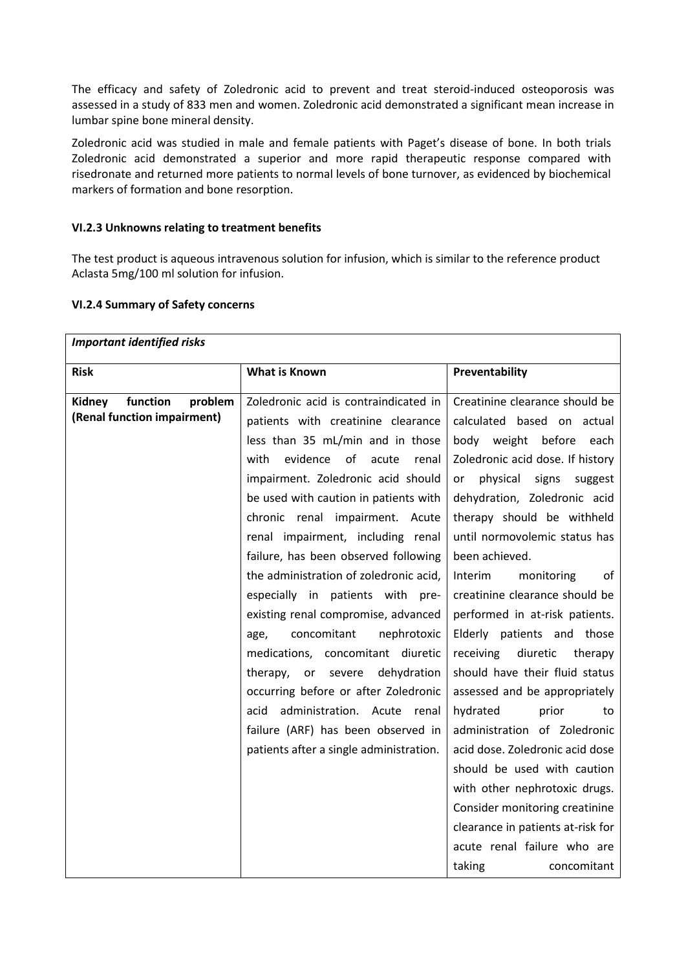The efficacy and safety of Zoledronic acid to prevent and treat steroid-induced osteoporosis was assessed in a study of 833 men and women. Zoledronic acid demonstrated a significant mean increase in lumbar spine bone mineral density.

Zoledronic acid was studied in male and female patients with Paget's disease of bone. In both trials Zoledronic acid demonstrated a superior and more rapid therapeutic response compared with risedronate and returned more patients to normal levels of bone turnover, as evidenced by biochemical markers of formation and bone resorption.

## **VI.2.3 Unknowns relating to treatment benefits**

The test product is aqueous intravenous solution for infusion, which is similar to the reference product Aclasta 5mg/100 ml solution for infusion.

## **VI.2.4 Summary of Safety concerns**

| <b>Important identified risks</b>                            |                                                                                                                                                                                                                                                                                                                                                                                                                                        |                                                                                                                                                                                                                                                                                                                                                    |
|--------------------------------------------------------------|----------------------------------------------------------------------------------------------------------------------------------------------------------------------------------------------------------------------------------------------------------------------------------------------------------------------------------------------------------------------------------------------------------------------------------------|----------------------------------------------------------------------------------------------------------------------------------------------------------------------------------------------------------------------------------------------------------------------------------------------------------------------------------------------------|
| <b>Risk</b>                                                  | <b>What is Known</b>                                                                                                                                                                                                                                                                                                                                                                                                                   | Preventability                                                                                                                                                                                                                                                                                                                                     |
| function<br>problem<br>Kidney<br>(Renal function impairment) | Zoledronic acid is contraindicated in<br>patients with creatinine clearance<br>less than 35 mL/min and in those<br>evidence of<br>acute<br>with<br>renal<br>impairment. Zoledronic acid should<br>be used with caution in patients with<br>chronic renal impairment. Acute                                                                                                                                                             | Creatinine clearance should be<br>calculated based on actual<br>body weight before<br>each<br>Zoledronic acid dose. If history<br>physical signs<br>suggest<br>or<br>dehydration, Zoledronic acid<br>therapy should be withheld                                                                                                                    |
|                                                              | renal impairment, including renal<br>failure, has been observed following<br>the administration of zoledronic acid,<br>especially in patients with pre-<br>existing renal compromise, advanced<br>concomitant<br>nephrotoxic<br>age,<br>medications, concomitant diuretic<br>dehydration<br>therapy,<br>severe<br>or<br>occurring before or after Zoledronic<br>acid administration. Acute renal<br>failure (ARF) has been observed in | until normovolemic status has<br>been achieved.<br>Interim<br>monitoring<br>of<br>creatinine clearance should be<br>performed in at-risk patients.<br>Elderly patients and those<br>diuretic<br>receiving<br>therapy<br>should have their fluid status<br>assessed and be appropriately<br>hydrated<br>prior<br>to<br>administration of Zoledronic |
|                                                              | patients after a single administration.                                                                                                                                                                                                                                                                                                                                                                                                | acid dose. Zoledronic acid dose<br>should be used with caution<br>with other nephrotoxic drugs.<br>Consider monitoring creatinine<br>clearance in patients at-risk for<br>acute renal failure who are<br>taking<br>concomitant                                                                                                                     |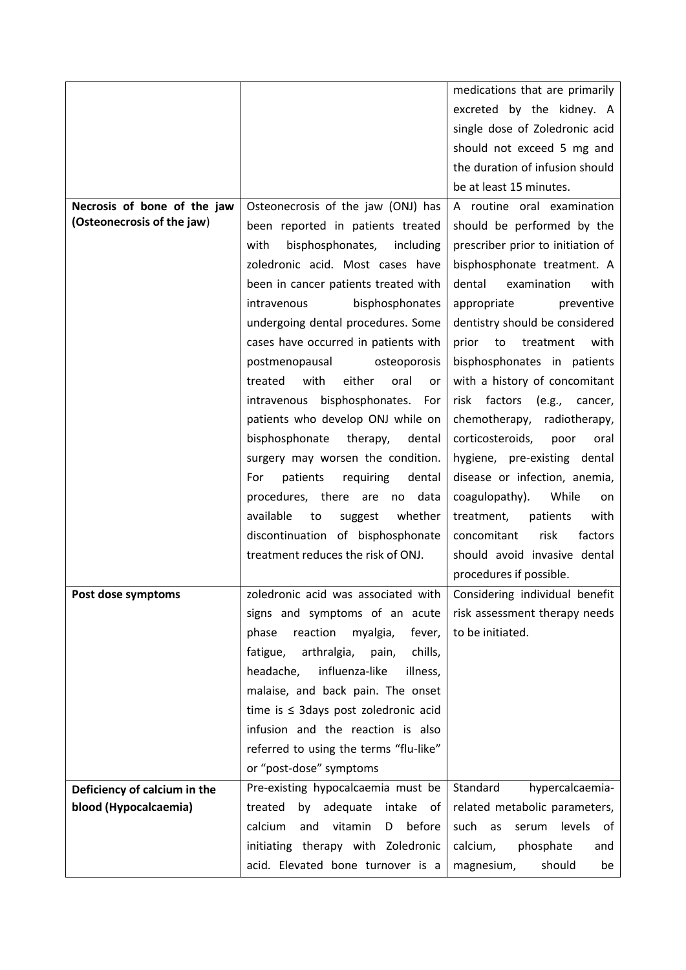|                              |                                           | medications that are primarily    |
|------------------------------|-------------------------------------------|-----------------------------------|
|                              |                                           | excreted by the kidney. A         |
|                              |                                           | single dose of Zoledronic acid    |
|                              |                                           | should not exceed 5 mg and        |
|                              |                                           | the duration of infusion should   |
|                              |                                           | be at least 15 minutes.           |
| Necrosis of bone of the jaw  | Osteonecrosis of the jaw (ONJ) has        | A routine oral examination        |
| (Osteonecrosis of the jaw)   | been reported in patients treated         | should be performed by the        |
|                              | with<br>bisphosphonates, including        | prescriber prior to initiation of |
|                              | zoledronic acid. Most cases have          | bisphosphonate treatment. A       |
|                              | been in cancer patients treated with      | dental<br>examination<br>with     |
|                              | bisphosphonates<br>intravenous            | appropriate<br>preventive         |
|                              | undergoing dental procedures. Some        | dentistry should be considered    |
|                              | cases have occurred in patients with      | prior<br>to<br>treatment<br>with  |
|                              | postmenopausal<br>osteoporosis            | bisphosphonates in patients       |
|                              | either<br>treated<br>with<br>oral<br>or   | with a history of concomitant     |
|                              | intravenous bisphosphonates.<br>For       | factors (e.g.,<br>risk<br>cancer, |
|                              | patients who develop ONJ while on         | chemotherapy, radiotherapy,       |
|                              | bisphosphonate<br>therapy,<br>dental      | corticosteroids,<br>poor<br>oral  |
|                              | surgery may worsen the condition.         | hygiene, pre-existing dental      |
|                              | patients requiring<br>dental<br>For       | disease or infection, anemia,     |
|                              | procedures, there are<br>data<br>no       | coagulopathy).<br>While<br>on     |
|                              | available<br>whether<br>to<br>suggest     | treatment,<br>patients<br>with    |
|                              | discontinuation of bisphosphonate         | concomitant<br>risk<br>factors    |
|                              | treatment reduces the risk of ONJ.        | should avoid invasive dental      |
|                              |                                           | procedures if possible.           |
| Post dose symptoms           | zoledronic acid was associated with       | Considering individual benefit    |
|                              | signs and symptoms of an acute            | risk assessment therapy needs     |
|                              | myalgia,<br>phase<br>reaction<br>fever,   | to be initiated.                  |
|                              | fatigue,<br>arthralgia, pain,<br>chills,  |                                   |
|                              | headache,<br>influenza-like<br>illness,   |                                   |
|                              | malaise, and back pain. The onset         |                                   |
|                              | time is $\leq$ 3days post zoledronic acid |                                   |
|                              | infusion and the reaction is also         |                                   |
|                              | referred to using the terms "flu-like"    |                                   |
|                              | or "post-dose" symptoms                   |                                   |
| Deficiency of calcium in the | Pre-existing hypocalcaemia must be        | Standard<br>hypercalcaemia-       |
| blood (Hypocalcaemia)        | treated<br>adequate<br>intake<br>by<br>of | related metabolic parameters,     |
|                              | vitamin<br>D before<br>calcium<br>and     | such as<br>serum<br>levels of     |
|                              | initiating therapy with Zoledronic        | phosphate<br>calcium,<br>and      |
|                              | acid. Elevated bone turnover is a         | should<br>magnesium,<br>be        |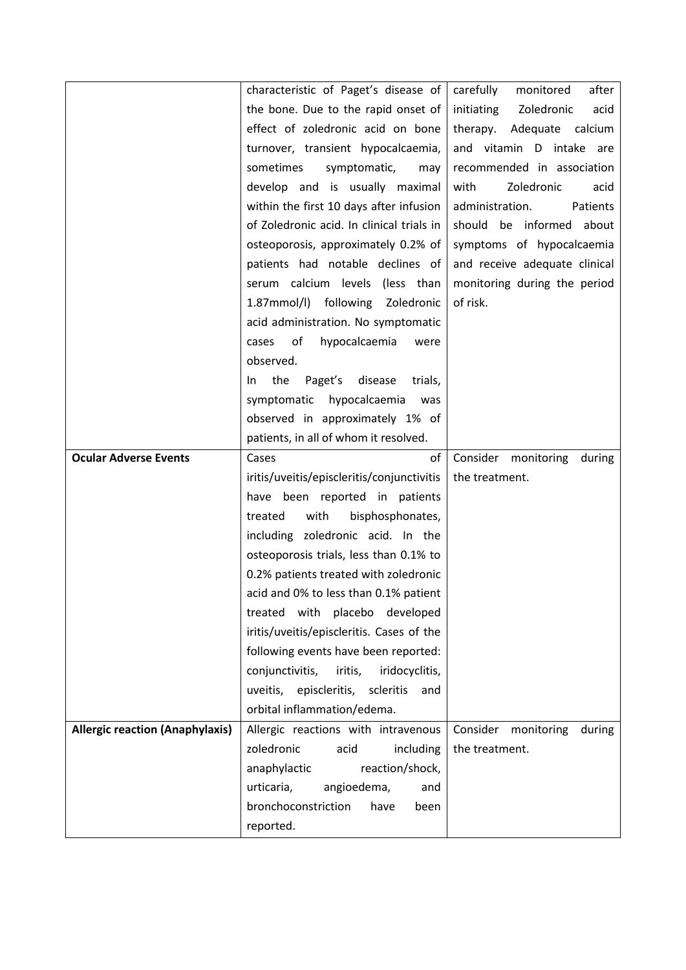|                                        | characteristic of Paget's disease of        | carefully<br>after<br>monitored  |
|----------------------------------------|---------------------------------------------|----------------------------------|
|                                        | the bone. Due to the rapid onset of         | Zoledronic<br>initiating<br>acid |
|                                        | effect of zoledronic acid on bone           | calcium<br>therapy.<br>Adequate  |
|                                        | turnover, transient hypocalcaemia,          | and vitamin D intake are         |
|                                        | sometimes<br>symptomatic,<br>may            | recommended in association       |
|                                        | develop and is usually maximal              | Zoledronic<br>with<br>acid       |
|                                        | within the first 10 days after infusion     | administration.<br>Patients      |
|                                        | of Zoledronic acid. In clinical trials in   | should be informed about         |
|                                        | osteoporosis, approximately 0.2% of         | symptoms of hypocalcaemia        |
|                                        | patients had notable declines of            | and receive adequate clinical    |
|                                        | serum calcium levels (less than             | monitoring during the period     |
|                                        | 1.87mmol/l) following Zoledronic            | of risk.                         |
|                                        | acid administration. No symptomatic         |                                  |
|                                        | hypocalcaemia<br>of<br>cases<br>were        |                                  |
|                                        | observed.                                   |                                  |
|                                        | the<br>Paget's<br>disease<br>trials,<br>In. |                                  |
|                                        | symptomatic hypocalcaemia<br>was            |                                  |
|                                        | observed in approximately 1% of             |                                  |
|                                        | patients, in all of whom it resolved.       |                                  |
| <b>Ocular Adverse Events</b>           | Cases<br>of                                 | Consider monitoring<br>during    |
|                                        | iritis/uveitis/episcleritis/conjunctivitis  | the treatment.                   |
|                                        | have been reported in patients              |                                  |
|                                        | with<br>bisphosphonates,<br>treated         |                                  |
|                                        | including zoledronic acid. In the           |                                  |
|                                        | osteoporosis trials, less than 0.1% to      |                                  |
|                                        | 0.2% patients treated with zoledronic       |                                  |
|                                        | acid and 0% to less than 0.1% patient       |                                  |
|                                        | treated with placebo developed              |                                  |
|                                        | iritis/uveitis/episcleritis. Cases of the   |                                  |
|                                        | following events have been reported:        |                                  |
|                                        | conjunctivitis, iritis,<br>iridocyclitis,   |                                  |
|                                        | uveitis, episcleritis, scleritis<br>and     |                                  |
|                                        | orbital inflammation/edema.                 |                                  |
| <b>Allergic reaction (Anaphylaxis)</b> | Allergic reactions with intravenous         | Consider<br>monitoring<br>during |
|                                        | zoledronic<br>acid<br>including             | the treatment.                   |
|                                        | reaction/shock,<br>anaphylactic             |                                  |
|                                        | urticaria,<br>angioedema,<br>and            |                                  |
|                                        | bronchoconstriction<br>have<br>been         |                                  |
|                                        | reported.                                   |                                  |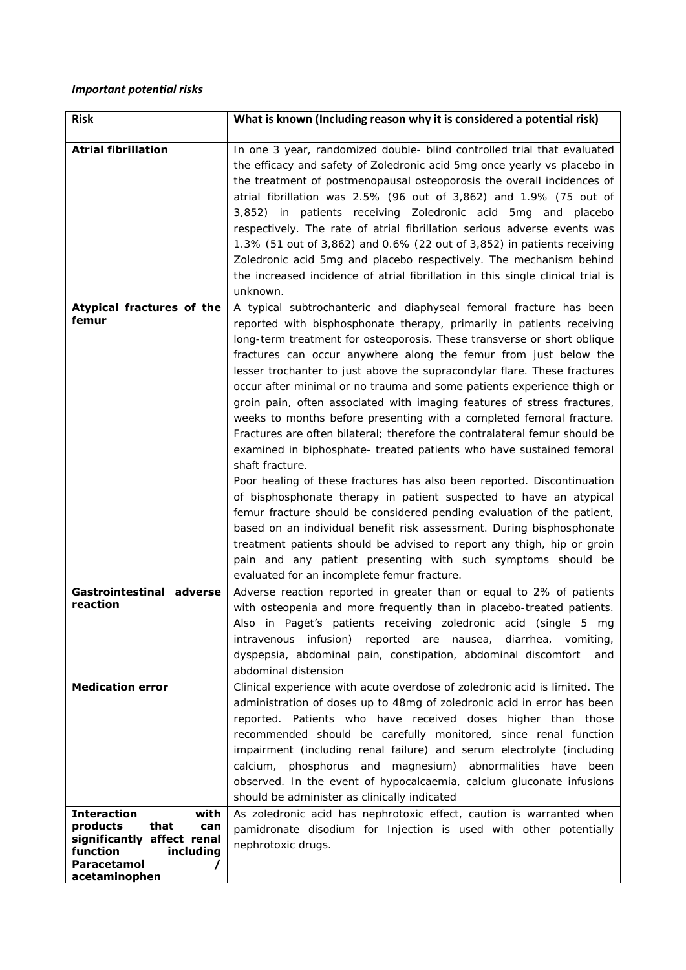## *Important potential risks*

| <b>Risk</b>                                                                                                                                                                    | What is known (Including reason why it is considered a potential risk)                                                                                                                                                                                                                                                                                                                                                                                                                                                                                                                                                                                                                                                                                                                                                                                                                                                                                                                                                                                                                                                                                                                                                                                                    |
|--------------------------------------------------------------------------------------------------------------------------------------------------------------------------------|---------------------------------------------------------------------------------------------------------------------------------------------------------------------------------------------------------------------------------------------------------------------------------------------------------------------------------------------------------------------------------------------------------------------------------------------------------------------------------------------------------------------------------------------------------------------------------------------------------------------------------------------------------------------------------------------------------------------------------------------------------------------------------------------------------------------------------------------------------------------------------------------------------------------------------------------------------------------------------------------------------------------------------------------------------------------------------------------------------------------------------------------------------------------------------------------------------------------------------------------------------------------------|
| <b>Atrial fibrillation</b>                                                                                                                                                     | In one 3 year, randomized double- blind controlled trial that evaluated<br>the efficacy and safety of Zoledronic acid 5mg once yearly vs placebo in<br>the treatment of postmenopausal osteoporosis the overall incidences of<br>atrial fibrillation was 2.5% (96 out of 3,862) and 1.9% (75 out of<br>3,852) in patients receiving Zoledronic acid 5mg and placebo<br>respectively. The rate of atrial fibrillation serious adverse events was<br>1.3% (51 out of 3,862) and 0.6% (22 out of 3,852) in patients receiving<br>Zoledronic acid 5mg and placebo respectively. The mechanism behind<br>the increased incidence of atrial fibrillation in this single clinical trial is<br>unknown.                                                                                                                                                                                                                                                                                                                                                                                                                                                                                                                                                                           |
| Atypical fractures of the<br>femur                                                                                                                                             | A typical subtrochanteric and diaphyseal femoral fracture has been<br>reported with bisphosphonate therapy, primarily in patients receiving<br>long-term treatment for osteoporosis. These transverse or short oblique<br>fractures can occur anywhere along the femur from just below the<br>lesser trochanter to just above the supracondylar flare. These fractures<br>occur after minimal or no trauma and some patients experience thigh or<br>groin pain, often associated with imaging features of stress fractures,<br>weeks to months before presenting with a completed femoral fracture.<br>Fractures are often bilateral; therefore the contralateral femur should be<br>examined in biphosphate- treated patients who have sustained femoral<br>shaft fracture.<br>Poor healing of these fractures has also been reported. Discontinuation<br>of bisphosphonate therapy in patient suspected to have an atypical<br>femur fracture should be considered pending evaluation of the patient,<br>based on an individual benefit risk assessment. During bisphosphonate<br>treatment patients should be advised to report any thigh, hip or groin<br>pain and any patient presenting with such symptoms should be<br>evaluated for an incomplete femur fracture. |
| Gastrointestinal adverse<br>reaction                                                                                                                                           | Adverse reaction reported in greater than or equal to 2% of patients<br>with osteopenia and more frequently than in placebo-treated patients.<br>Also in Paget's patients receiving zoledronic acid (single 5 mg<br>intravenous infusion) reported are nausea, diarrhea, vomiting,<br>dyspepsia, abdominal pain, constipation, abdominal discomfort<br>and<br>abdominal distension                                                                                                                                                                                                                                                                                                                                                                                                                                                                                                                                                                                                                                                                                                                                                                                                                                                                                        |
| <b>Medication error</b><br><b>Interaction</b><br>with<br>products<br>that<br>can<br>significantly affect renal<br>function<br>including<br><b>Paracetamol</b><br>acetaminophen | Clinical experience with acute overdose of zoledronic acid is limited. The<br>administration of doses up to 48mg of zoledronic acid in error has been<br>reported. Patients who have received doses higher than those<br>recommended should be carefully monitored, since renal function<br>impairment (including renal failure) and serum electrolyte (including<br>calcium, phosphorus and magnesium) abnormalities have been<br>observed. In the event of hypocalcaemia, calcium gluconate infusions<br>should be administer as clinically indicated<br>As zoledronic acid has nephrotoxic effect, caution is warranted when<br>pamidronate disodium for Injection is used with other potentially<br>nephrotoxic drugs.                                                                                                                                                                                                                                                                                                                                                                                                                                                                                                                                                |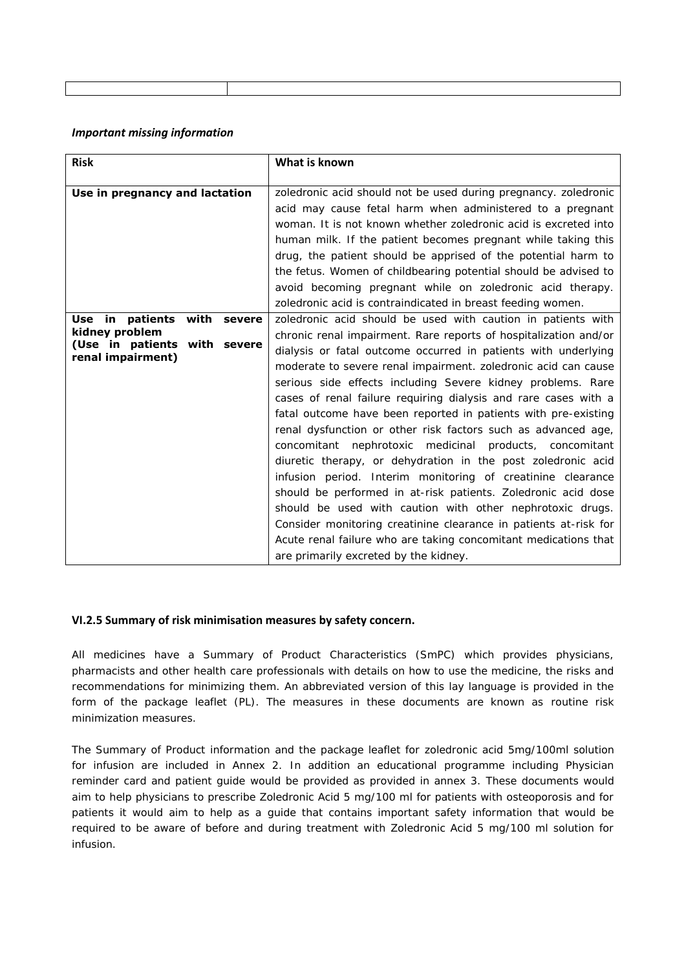#### *Important missing information*

| <b>Risk</b>                                                         | What is known                                                                                                                                                                                                                                                                                                                                                                                                                                                                                                                                                                                                                                                                                                                                                                                                                                                                                                                                                                     |
|---------------------------------------------------------------------|-----------------------------------------------------------------------------------------------------------------------------------------------------------------------------------------------------------------------------------------------------------------------------------------------------------------------------------------------------------------------------------------------------------------------------------------------------------------------------------------------------------------------------------------------------------------------------------------------------------------------------------------------------------------------------------------------------------------------------------------------------------------------------------------------------------------------------------------------------------------------------------------------------------------------------------------------------------------------------------|
| Use in pregnancy and lactation<br>patients<br>with severe<br>Use in | zoledronic acid should not be used during pregnancy. zoledronic<br>acid may cause fetal harm when administered to a pregnant<br>woman. It is not known whether zoledronic acid is excreted into<br>human milk. If the patient becomes pregnant while taking this<br>drug, the patient should be apprised of the potential harm to<br>the fetus. Women of childbearing potential should be advised to<br>avoid becoming pregnant while on zoledronic acid therapy.<br>zoledronic acid is contraindicated in breast feeding women.<br>zoledronic acid should be used with caution in patients with                                                                                                                                                                                                                                                                                                                                                                                  |
| kidney problem<br>(Use in patients with severe<br>renal impairment) | chronic renal impairment. Rare reports of hospitalization and/or<br>dialysis or fatal outcome occurred in patients with underlying<br>moderate to severe renal impairment. zoledronic acid can cause<br>serious side effects including Severe kidney problems. Rare<br>cases of renal failure requiring dialysis and rare cases with a<br>fatal outcome have been reported in patients with pre-existing<br>renal dysfunction or other risk factors such as advanced age,<br>concomitant nephrotoxic medicinal products, concomitant<br>diuretic therapy, or dehydration in the post zoledronic acid<br>infusion period. Interim monitoring of creatinine clearance<br>should be performed in at-risk patients. Zoledronic acid dose<br>should be used with caution with other nephrotoxic drugs.<br>Consider monitoring creatinine clearance in patients at-risk for<br>Acute renal failure who are taking concomitant medications that<br>are primarily excreted by the kidney. |

#### **VI.2.5 Summary of risk minimisation measures by safety concern.**

All medicines have a Summary of Product Characteristics (SmPC) which provides physicians, pharmacists and other health care professionals with details on how to use the medicine, the risks and recommendations for minimizing them. An abbreviated version of this lay language is provided in the form of the package leaflet (PL). The measures in these documents are known as routine risk minimization measures.

The Summary of Product information and the package leaflet for zoledronic acid 5mg/100ml solution for infusion are included in Annex 2. In addition an educational programme including Physician reminder card and patient guide would be provided as provided in annex 3. These documents would aim to help physicians to prescribe Zoledronic Acid 5 mg/100 ml for patients with osteoporosis and for patients it would aim to help as a guide that contains important safety information that would be required to be aware of before and during treatment with Zoledronic Acid 5 mg/100 ml solution for infusion.